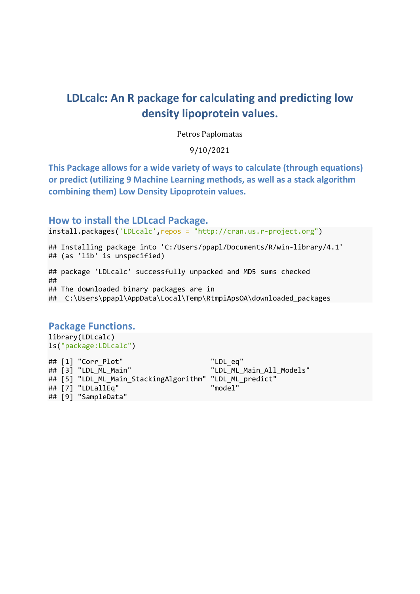# LDLcalc: An R package for calculating and predicting low density lipoprotein values.

Petros Paplomatas

9/10/2021

This Package allows for a wide variety of ways to calculate (through equations) or predict (utilizing 9 Machine Learning methods, as well as a stack algorithm combining them) Low Density Lipoprotein values.

## How to install the LDLcacl Package.

install.packages('LDLcalc',repos = "http://cran.us.r-project.org")

```
## Installing package into 'C:/Users/ppapl/Documents/R/win-library/4.1'
## (as 'lib' is unspecified)
## package 'LDLcalc' successfully unpacked and MD5 sums checked
## 
## The downloaded binary packages are in
## C:\Users\ppapl\AppData\Local\Temp\RtmpiApsOA\downloaded_packages
```
# Package Functions.

library(LDLcalc) ls("package:LDLcalc")

## [1] "Corr Plot" "LDL eq" ## [3] "LDL ML Main" "LDL ML Main All Models" ## [5] "LDL\_ML\_Main\_StackingAlgorithm" "LDL\_ML\_predict" ## [7] "LDLallEq" "model" ## [9] "SampleData"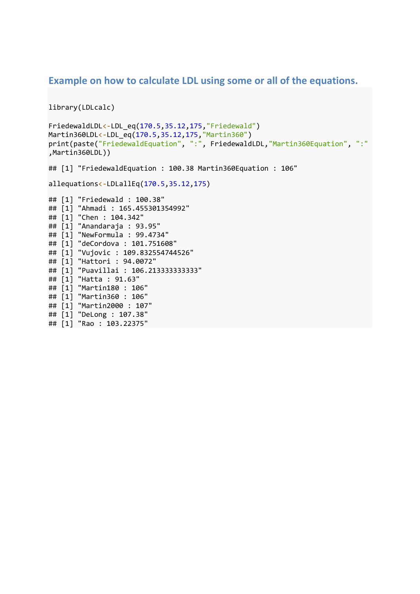## Example on how to calculate LDL using some or all of the equations.

```
library(LDLcalc)
```

```
FriedewaldLDL<-LDL_eq(170.5,35.12,175,"Friedewald")
Martin360LDL<-LDL_eq(170.5,35.12,175,"Martin360")
print(paste("FriedewaldEquation", ":", FriedewaldLDL,"Martin360Equation", ":"
,Martin360LDL))
```
## [1] "FriedewaldEquation : 100.38 Martin360Equation : 106"

```
allequations<-LDLallEq(170.5,35.12,175)
```

```
## [1] "Friedewald : 100.38"
## [1] "Ahmadi : 165.455301354992"
## [1] "Chen : 104.342"
## [1] "Anandaraja : 93.95"
## [1] "NewFormula : 99.4734"
## [1] "deCordova : 101.751608"
## [1] "Vujovic : 109.832554744526"
## [1] "Hattori : 94.0072"
## [1] "Puavillai : 106.213333333333"
## [1] "Hatta : 91.63"
## [1] "Martin180 : 106"
## [1] "Martin360 : 106"
## [1] "Martin2000 : 107"
## [1] "DeLong : 107.38"
## [1] "Rao : 103.22375"
```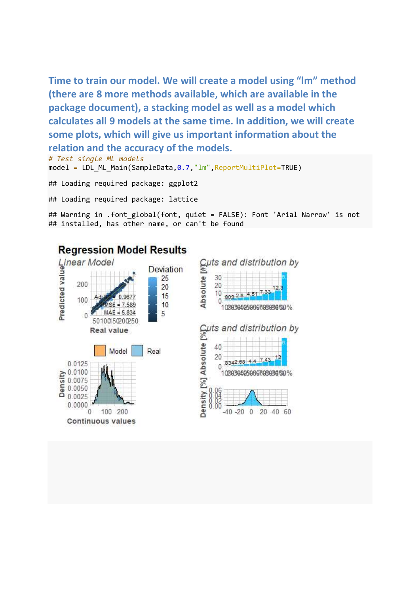Time to train our model. We will create a model using "lm" method (there are 8 more methods available, which are available in the package document), a stacking model as well as a model which calculates all 9 models at the same time. In addition, we will create some plots, which will give us important information about the relation and the accuracy of the models.

# Test single ML models model = LDL\_ML\_Main(SampleData, 0.7, "lm", ReportMultiPlot=TRUE)

## Loading required package: ggplot2

## Loading required package: lattice

## Warning in .font\_global(font, quiet = FALSE): Font 'Arial Narrow' is not ## installed, has other name, or can't be found

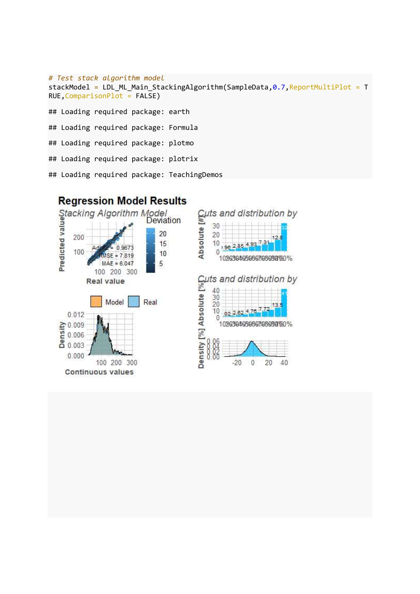```
# Test stack algorithm model
stackModel = LDL_ML_Main_StackingAlgorithm(SampleData,0.7, ReportMultiPlot = T
RUE,ComparisonPlot = FALSE)
## Loading required package: earth
## Loading required package: Formula
## Loading required package: plotmo
## Loading required package: plotrix
## Loading required package: TeachingDemos
```
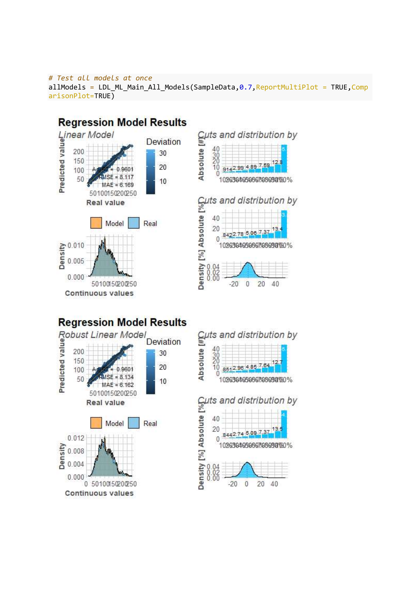### # Test all models at once allModels = LDL\_ML\_Main\_All\_Models(SampleData, 0.7, ReportMultiPlot = TRUE, Comp arisonPlot=TRUE)

## **Regression Model Results** Linear Model Deviation 30 20  $0.001$ n  $= 8.117$ 10  $MAE = 6.169$ 50100150200250 **Real value** Model Real  $\frac{25}{16}$  0.010  $0.000$ 50100150200250 **Continuous values**





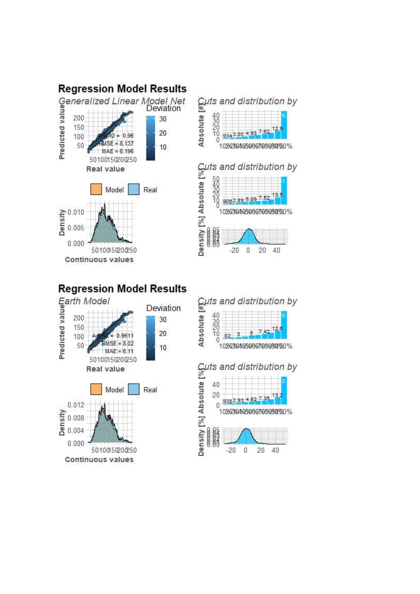

# Cuts and distribution by<br>  $\frac{20}{20}$ <br>  $\frac{10}{20}$ <br>  $\frac{30}{20}$ <br>  $\frac{3082395.09752^{13.5}}{10203040306070809000}$ <br>  $\frac{20}{20}$ <br>  $\frac{20}{20}$ <br>  $\frac{20}{20}$ <br>  $\frac{20}{20}$ <br>  $\frac{20}{20}$ <br>  $\frac{20}{20}$







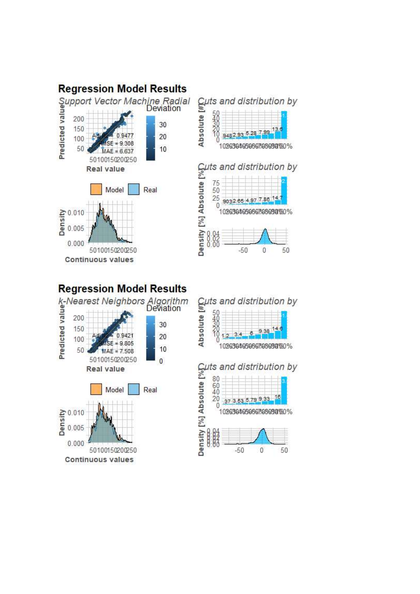

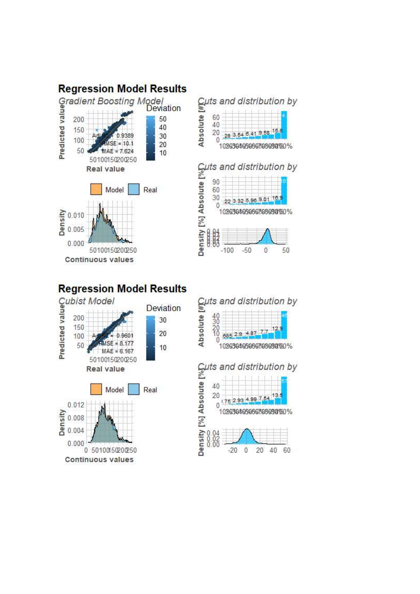









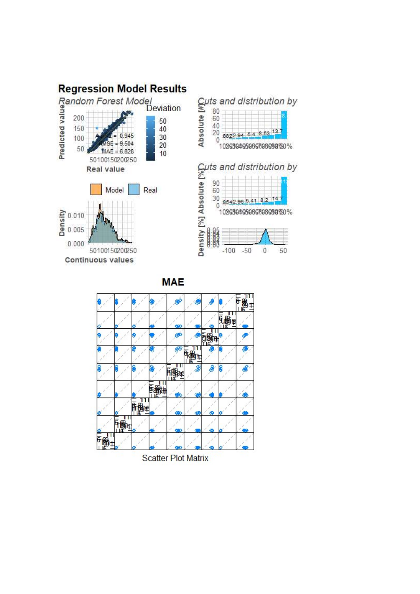



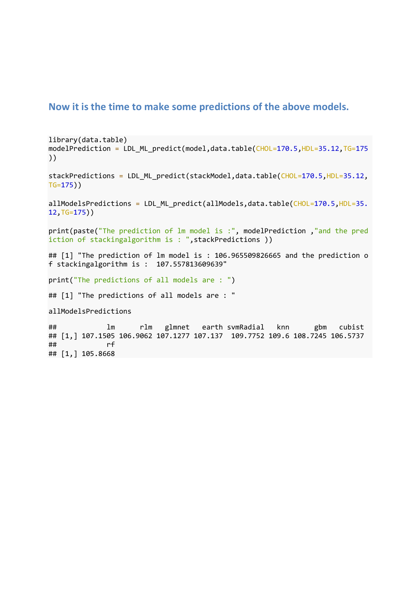## Now it is the time to make some predictions of the above models.

library(data.table) modelPrediction = LDL\_ML\_predict(model,data.table(CHOL=170.5,HDL=35.12,TG=175 ))

stackPredictions = LDL\_ML\_predict(stackModel,data.table(CHOL=170.5,HDL=35.12, TG=175))

allModelsPredictions = LDL ML predict(allModels,data.table(CHOL=170.5,HDL=35. 12,TG=175))

print(paste("The prediction of lm model is :", modelPrediction ,"and the pred iction of stackingalgorithm is : ",stackPredictions ))

## [1] "The prediction of lm model is : 106.965509826665 and the prediction o f stackingalgorithm is : 107.557813609639"

print("The predictions of all models are : ")

```
## [1] "The predictions of all models are : "
```
allModelsPredictions

## lm rlm glmnet earth svmRadial knn gbm cubist ## [1,] 107.1505 106.9062 107.1277 107.137 109.7752 109.6 108.7245 106.5737 ## rf ## [1,] 105.8668